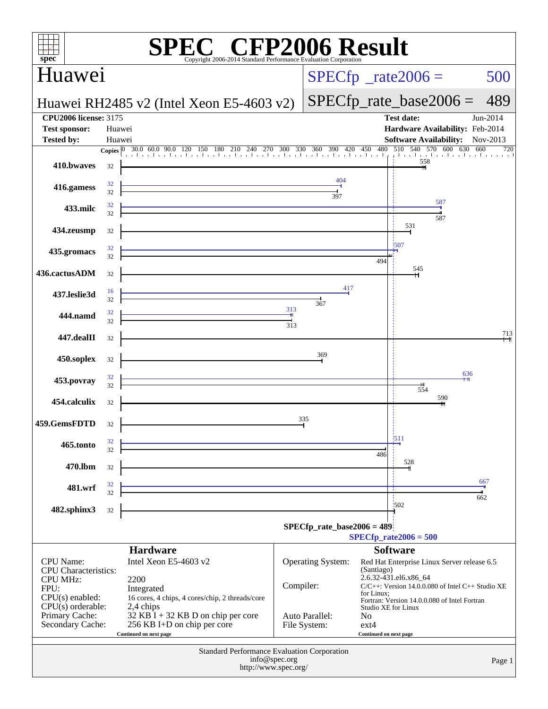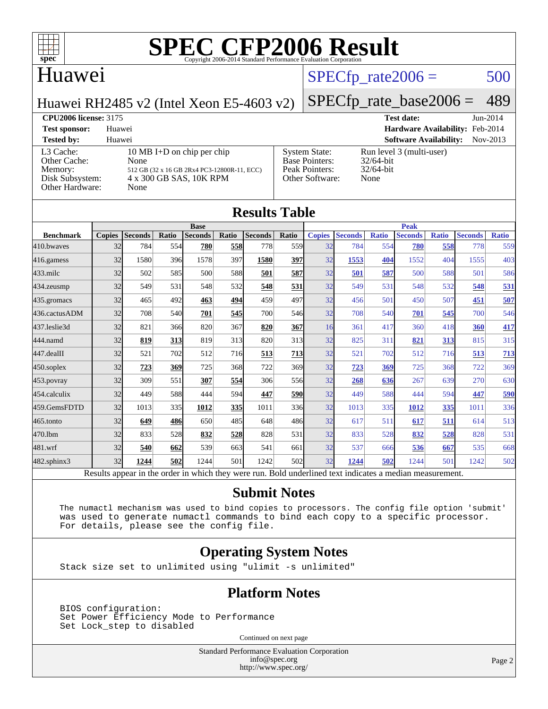

#### Huawei

#### $SPECTp\_rate2006 = 500$

Huawei RH2485 v2 (Intel Xeon E5-4603 v2)

### [SPECfp\\_rate\\_base2006 =](http://www.spec.org/auto/cpu2006/Docs/result-fields.html#SPECfpratebase2006) 489

#### **[CPU2006 license:](http://www.spec.org/auto/cpu2006/Docs/result-fields.html#CPU2006license)** 3175 **[Test date:](http://www.spec.org/auto/cpu2006/Docs/result-fields.html#Testdate)** Jun-2014 **[Test sponsor:](http://www.spec.org/auto/cpu2006/Docs/result-fields.html#Testsponsor)** Huawei **[Hardware Availability:](http://www.spec.org/auto/cpu2006/Docs/result-fields.html#HardwareAvailability)** Feb-2014 **[Tested by:](http://www.spec.org/auto/cpu2006/Docs/result-fields.html#Testedby)** Huawei **[Software Availability:](http://www.spec.org/auto/cpu2006/Docs/result-fields.html#SoftwareAvailability)** Nov-2013 [L3 Cache:](http://www.spec.org/auto/cpu2006/Docs/result-fields.html#L3Cache) 10 MB I+D on chip per chip<br>Other Cache: None [Other Cache:](http://www.spec.org/auto/cpu2006/Docs/result-fields.html#OtherCache) [Memory:](http://www.spec.org/auto/cpu2006/Docs/result-fields.html#Memory) 512 GB (32 x 16 GB 2Rx4 PC3-12800R-11, ECC) [Disk Subsystem:](http://www.spec.org/auto/cpu2006/Docs/result-fields.html#DiskSubsystem) 4 x 300 GB SAS, 10K RPM [Other Hardware:](http://www.spec.org/auto/cpu2006/Docs/result-fields.html#OtherHardware) None [System State:](http://www.spec.org/auto/cpu2006/Docs/result-fields.html#SystemState) Run level 3 (multi-user)<br>Base Pointers: 32/64-bit [Base Pointers:](http://www.spec.org/auto/cpu2006/Docs/result-fields.html#BasePointers) [Peak Pointers:](http://www.spec.org/auto/cpu2006/Docs/result-fields.html#PeakPointers) 32/64-bit [Other Software:](http://www.spec.org/auto/cpu2006/Docs/result-fields.html#OtherSoftware) None

| <b>Results Table</b> |               |                |       |                |       |                                                                                                          |       |               |                |              |                |              |                |              |
|----------------------|---------------|----------------|-------|----------------|-------|----------------------------------------------------------------------------------------------------------|-------|---------------|----------------|--------------|----------------|--------------|----------------|--------------|
|                      | <b>Base</b>   |                |       |                |       |                                                                                                          |       | <b>Peak</b>   |                |              |                |              |                |              |
| <b>Benchmark</b>     | <b>Copies</b> | <b>Seconds</b> | Ratio | <b>Seconds</b> | Ratio | <b>Seconds</b>                                                                                           | Ratio | <b>Copies</b> | <b>Seconds</b> | <b>Ratio</b> | <b>Seconds</b> | <b>Ratio</b> | <b>Seconds</b> | <b>Ratio</b> |
| 410.bwayes           | 32            | 784            | 554   | 780            | 558   | 778                                                                                                      | 559   | 32            | 784            | 554          | 780            | 558          | 778            | 559          |
| 416.gamess           | 32            | 1580           | 396   | 1578           | 397   | 1580                                                                                                     | 397   | 32            | 1553           | 404          | 1552           | 404          | 1555           | 403          |
| $433$ .milc          | 32            | 502            | 585   | 500            | 588   | 501                                                                                                      | 587   | 32            | 501            | 587          | 500            | 588          | 501            | 586          |
| 434.zeusmp           | 32            | 549            | 531   | 548            | 532   | 548                                                                                                      | 531   | 32            | 549            | 531          | 548            | 532          | 548            | 531          |
| 435.gromacs          | 32            | 465            | 492   | 463            | 494   | 459                                                                                                      | 497   | 32            | 456            | 501          | 450            | 507          | 451            | 507          |
| 436.cactusADM        | 32            | 708            | 540   | 701            | 545   | 700                                                                                                      | 546   | 32            | 708            | 540          | 701            | 545          | 700            | 546          |
| 437.leslie3d         | 32            | 821            | 366   | 820            | 367   | 820                                                                                                      | 367   | 16            | 361            | 417          | 360            | 418          | 360            | 417          |
| 444.namd             | 32            | 819            | 313   | 819            | 313   | 820                                                                                                      | 313   | 32            | 825            | 311          | 821            | 313          | 815            | 315          |
| 447.dealII           | 32            | 521            | 702   | 512            | 716   | 513                                                                                                      | 713   | 32            | 521            | 702          | 512            | 716          | 513            | 713          |
| $450$ .soplex        | 32            | 723            | 369   | 725            | 368   | 722                                                                                                      | 369   | 32            | 723            | 369          | 725            | 368          | 722            | 369          |
| $453$ .povray        | 32            | 309            | 551   | 307            | 554   | 306                                                                                                      | 556   | 32            | 268            | 636          | 267            | 639          | 270            | 630          |
| 454.calculix         | 32            | 449            | 588   | 444            | 594l  | 447                                                                                                      | 590   | 32            | 449            | 588          | 444            | 594          | 447            | 590          |
| 459.GemsFDTD         | 32            | 1013           | 335   | 1012           | 335   | 1011                                                                                                     | 336   | 32            | 1013           | 335          | 1012           | 335          | 1011           | 336          |
| 465.tonto            | 32            | 649            | 486   | 650            | 485   | 648                                                                                                      | 486   | 32            | 617            | 511          | 617            | 511          | 614            | 513          |
| 470.lbm              | 32            | 833            | 528   | 832            | 528   | 828                                                                                                      | 531   | 32            | 833            | 528          | 832            | 528          | 828            | 531          |
| 481.wrf              | 32            | 540            | 662   | 539            | 663   | 541                                                                                                      | 661   | 32            | 537            | 666          | 536            | 667          | 535            | 668          |
| $482$ .sphinx $3$    | 32            | 1244           | 502   | 1244           | 501   | 1242                                                                                                     | 502   | 32            | 1244           | 502          | 1244           | 501          | 1242           | 502          |
|                      |               |                |       |                |       | Results appear in the order in which they were run. Bold underlined text indicates a median measurement. |       |               |                |              |                |              |                |              |

#### **[Submit Notes](http://www.spec.org/auto/cpu2006/Docs/result-fields.html#SubmitNotes)**

 The numactl mechanism was used to bind copies to processors. The config file option 'submit' was used to generate numactl commands to bind each copy to a specific processor. For details, please see the config file.

#### **[Operating System Notes](http://www.spec.org/auto/cpu2006/Docs/result-fields.html#OperatingSystemNotes)**

Stack size set to unlimited using "ulimit -s unlimited"

#### **[Platform Notes](http://www.spec.org/auto/cpu2006/Docs/result-fields.html#PlatformNotes)**

 BIOS configuration: Set Power Efficiency Mode to Performance Set Lock\_step to disabled

Continued on next page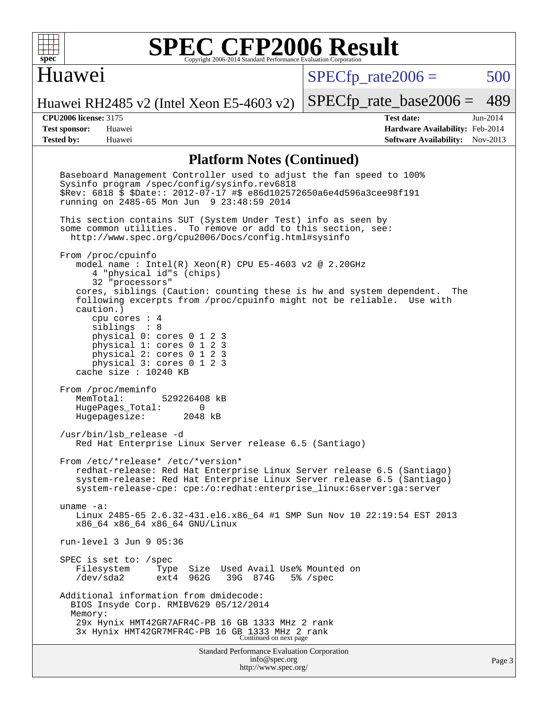

#### Huawei

 $SPECfp\_rate2006 = 500$ 

[SPECfp\\_rate\\_base2006 =](http://www.spec.org/auto/cpu2006/Docs/result-fields.html#SPECfpratebase2006) 489

Huawei RH2485 v2 (Intel Xeon E5-4603 v2)

**[CPU2006 license:](http://www.spec.org/auto/cpu2006/Docs/result-fields.html#CPU2006license)** 3175 **[Test date:](http://www.spec.org/auto/cpu2006/Docs/result-fields.html#Testdate)** Jun-2014 **[Test sponsor:](http://www.spec.org/auto/cpu2006/Docs/result-fields.html#Testsponsor)** Huawei **[Hardware Availability:](http://www.spec.org/auto/cpu2006/Docs/result-fields.html#HardwareAvailability)** Feb-2014 **[Tested by:](http://www.spec.org/auto/cpu2006/Docs/result-fields.html#Testedby)** Huawei **[Software Availability:](http://www.spec.org/auto/cpu2006/Docs/result-fields.html#SoftwareAvailability)** Nov-2013

#### **[Platform Notes \(Continued\)](http://www.spec.org/auto/cpu2006/Docs/result-fields.html#PlatformNotes)**

| Standard Performance Evaluation Corporation<br>info@spec.org                                                                                                                                                                                                                                                       | Page |
|--------------------------------------------------------------------------------------------------------------------------------------------------------------------------------------------------------------------------------------------------------------------------------------------------------------------|------|
| BIOS Insyde Corp. RMIBV629 05/12/2014<br>Memory:<br>29x Hynix HMT42GR7AFR4C-PB 16 GB 1333 MHz 2 rank<br>3x Hynix HMT42GR7MFR4C-PB 16 GB 1333 MHz 2 rank<br>Continued on next page                                                                                                                                  |      |
| Additional information from dmidecode:                                                                                                                                                                                                                                                                             |      |
| SPEC is set to: /spec<br>Used Avail Use% Mounted on<br>Size<br>Filesystem<br>Type<br>$/\text{dev/sda2}$<br>962G<br>39G<br>874G<br>$5\frac{1}{6}$ /spec<br>ext4                                                                                                                                                     |      |
| run-level 3 Jun 9 05:36                                                                                                                                                                                                                                                                                            |      |
| uname $-a$ :<br>Linux 2485-65 2.6.32-431.el6.x86_64 #1 SMP Sun Nov 10 22:19:54 EST 2013<br>x86_64 x86_64 x86_64 GNU/Linux                                                                                                                                                                                          |      |
| From /etc/*release* /etc/*version*<br>redhat-release: Red Hat Enterprise Linux Server release 6.5 (Santiago)<br>system-release: Red Hat Enterprise Linux Server release 6.5 (Santiago)<br>system-release-cpe: cpe:/o:redhat:enterprise_linux:6server:ga:server                                                     |      |
| /usr/bin/lsb_release -d<br>Red Hat Enterprise Linux Server release 6.5 (Santiago)                                                                                                                                                                                                                                  |      |
| From /proc/meminfo<br>MemTotal: 529226408 kB<br>HugePages_Total: 0<br>Hugepagesize: 2048 kB                                                                                                                                                                                                                        |      |
| siblings : 8<br>physical 0: cores 0 1 2 3<br>physical 1: cores 0 1 2 3<br>physical 2: cores 0 1 2 3<br>physical 3: cores 0 1 2 3<br>cache size : $10240$ KB                                                                                                                                                        |      |
| From /proc/cpuinfo<br>model name: $Intel(R)$ Xeon $(R)$ CPU E5-4603 v2 @ 2.20GHz<br>4 "physical id"s (chips)<br>32 "processors"<br>cores, siblings (Caution: counting these is hw and system dependent. The<br>following excerpts from /proc/cpuinfo might not be reliable. Use with<br>caution.)<br>cpu cores : 4 |      |
| This section contains SUT (System Under Test) info as seen by<br>some common utilities. To remove or add to this section, see:<br>http://www.spec.org/cpu2006/Docs/config.html#sysinfo                                                                                                                             |      |
| Baseboard Management Controller used to adjust the fan speed to 100%<br>Sysinfo program /spec/config/sysinfo.rev6818<br>\$Rev: 6818 \$ \$Date:: 2012-07-17 #\$ e86d102572650a6e4d596a3cee98f191<br>running on 2485-65 Mon Jun 9 23:48:59 2014                                                                      |      |
|                                                                                                                                                                                                                                                                                                                    |      |

<http://www.spec.org/>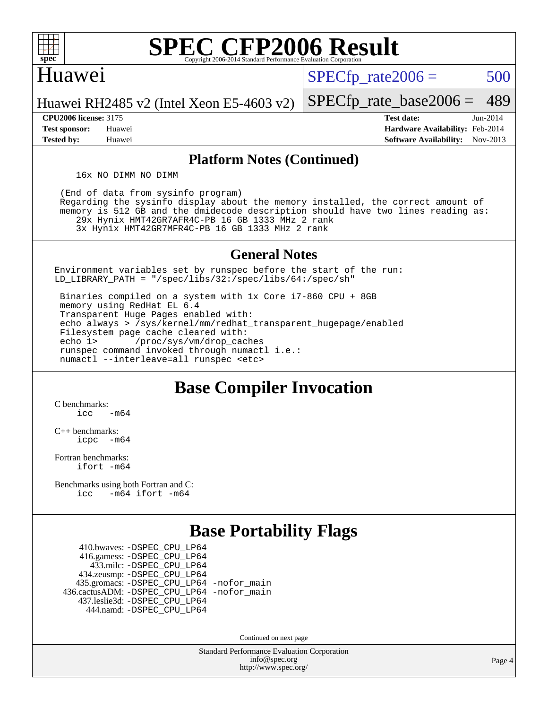

#### Huawei

 $SPECTp\_rate2006 = 500$ 

Huawei RH2485 v2 (Intel Xeon E5-4603 v2)

**[Test sponsor:](http://www.spec.org/auto/cpu2006/Docs/result-fields.html#Testsponsor)** Huawei **[Hardware Availability:](http://www.spec.org/auto/cpu2006/Docs/result-fields.html#HardwareAvailability)** Feb-2014 **[Tested by:](http://www.spec.org/auto/cpu2006/Docs/result-fields.html#Testedby)** Huawei **[Software Availability:](http://www.spec.org/auto/cpu2006/Docs/result-fields.html#SoftwareAvailability)** Nov-2013

[SPECfp\\_rate\\_base2006 =](http://www.spec.org/auto/cpu2006/Docs/result-fields.html#SPECfpratebase2006) 489 **[CPU2006 license:](http://www.spec.org/auto/cpu2006/Docs/result-fields.html#CPU2006license)** 3175 **[Test date:](http://www.spec.org/auto/cpu2006/Docs/result-fields.html#Testdate)** Jun-2014

**[Platform Notes \(Continued\)](http://www.spec.org/auto/cpu2006/Docs/result-fields.html#PlatformNotes)**

16x NO DIMM NO DIMM

 (End of data from sysinfo program) Regarding the sysinfo display about the memory installed, the correct amount of memory is 512 GB and the dmidecode description should have two lines reading as: 29x Hynix HMT42GR7AFR4C-PB 16 GB 1333 MHz 2 rank 3x Hynix HMT42GR7MFR4C-PB 16 GB 1333 MHz 2 rank

**[General Notes](http://www.spec.org/auto/cpu2006/Docs/result-fields.html#GeneralNotes)**

Environment variables set by runspec before the start of the run: LD\_LIBRARY\_PATH = "/spec/libs/32:/spec/libs/64:/spec/sh"

 Binaries compiled on a system with 1x Core i7-860 CPU + 8GB memory using RedHat EL 6.4 Transparent Huge Pages enabled with: echo always > /sys/kernel/mm/redhat\_transparent\_hugepage/enabled Filesystem page cache cleared with: echo 1> /proc/sys/vm/drop\_caches runspec command invoked through numactl i.e.: numactl --interleave=all runspec <etc>

#### **[Base Compiler Invocation](http://www.spec.org/auto/cpu2006/Docs/result-fields.html#BaseCompilerInvocation)**

[C benchmarks](http://www.spec.org/auto/cpu2006/Docs/result-fields.html#Cbenchmarks):  $\text{icc}$   $-\text{m64}$ 

[C++ benchmarks:](http://www.spec.org/auto/cpu2006/Docs/result-fields.html#CXXbenchmarks) [icpc -m64](http://www.spec.org/cpu2006/results/res2014q3/cpu2006-20140612-29880.flags.html#user_CXXbase_intel_icpc_64bit_bedb90c1146cab66620883ef4f41a67e)

[Fortran benchmarks](http://www.spec.org/auto/cpu2006/Docs/result-fields.html#Fortranbenchmarks): [ifort -m64](http://www.spec.org/cpu2006/results/res2014q3/cpu2006-20140612-29880.flags.html#user_FCbase_intel_ifort_64bit_ee9d0fb25645d0210d97eb0527dcc06e)

[Benchmarks using both Fortran and C](http://www.spec.org/auto/cpu2006/Docs/result-fields.html#BenchmarksusingbothFortranandC): [icc -m64](http://www.spec.org/cpu2006/results/res2014q3/cpu2006-20140612-29880.flags.html#user_CC_FCbase_intel_icc_64bit_0b7121f5ab7cfabee23d88897260401c) [ifort -m64](http://www.spec.org/cpu2006/results/res2014q3/cpu2006-20140612-29880.flags.html#user_CC_FCbase_intel_ifort_64bit_ee9d0fb25645d0210d97eb0527dcc06e)

#### **[Base Portability Flags](http://www.spec.org/auto/cpu2006/Docs/result-fields.html#BasePortabilityFlags)**

 410.bwaves: [-DSPEC\\_CPU\\_LP64](http://www.spec.org/cpu2006/results/res2014q3/cpu2006-20140612-29880.flags.html#suite_basePORTABILITY410_bwaves_DSPEC_CPU_LP64) 416.gamess: [-DSPEC\\_CPU\\_LP64](http://www.spec.org/cpu2006/results/res2014q3/cpu2006-20140612-29880.flags.html#suite_basePORTABILITY416_gamess_DSPEC_CPU_LP64) 433.milc: [-DSPEC\\_CPU\\_LP64](http://www.spec.org/cpu2006/results/res2014q3/cpu2006-20140612-29880.flags.html#suite_basePORTABILITY433_milc_DSPEC_CPU_LP64) 434.zeusmp: [-DSPEC\\_CPU\\_LP64](http://www.spec.org/cpu2006/results/res2014q3/cpu2006-20140612-29880.flags.html#suite_basePORTABILITY434_zeusmp_DSPEC_CPU_LP64) 435.gromacs: [-DSPEC\\_CPU\\_LP64](http://www.spec.org/cpu2006/results/res2014q3/cpu2006-20140612-29880.flags.html#suite_basePORTABILITY435_gromacs_DSPEC_CPU_LP64) [-nofor\\_main](http://www.spec.org/cpu2006/results/res2014q3/cpu2006-20140612-29880.flags.html#user_baseLDPORTABILITY435_gromacs_f-nofor_main) 436.cactusADM: [-DSPEC\\_CPU\\_LP64](http://www.spec.org/cpu2006/results/res2014q3/cpu2006-20140612-29880.flags.html#suite_basePORTABILITY436_cactusADM_DSPEC_CPU_LP64) [-nofor\\_main](http://www.spec.org/cpu2006/results/res2014q3/cpu2006-20140612-29880.flags.html#user_baseLDPORTABILITY436_cactusADM_f-nofor_main) 437.leslie3d: [-DSPEC\\_CPU\\_LP64](http://www.spec.org/cpu2006/results/res2014q3/cpu2006-20140612-29880.flags.html#suite_basePORTABILITY437_leslie3d_DSPEC_CPU_LP64) 444.namd: [-DSPEC\\_CPU\\_LP64](http://www.spec.org/cpu2006/results/res2014q3/cpu2006-20140612-29880.flags.html#suite_basePORTABILITY444_namd_DSPEC_CPU_LP64)

Continued on next page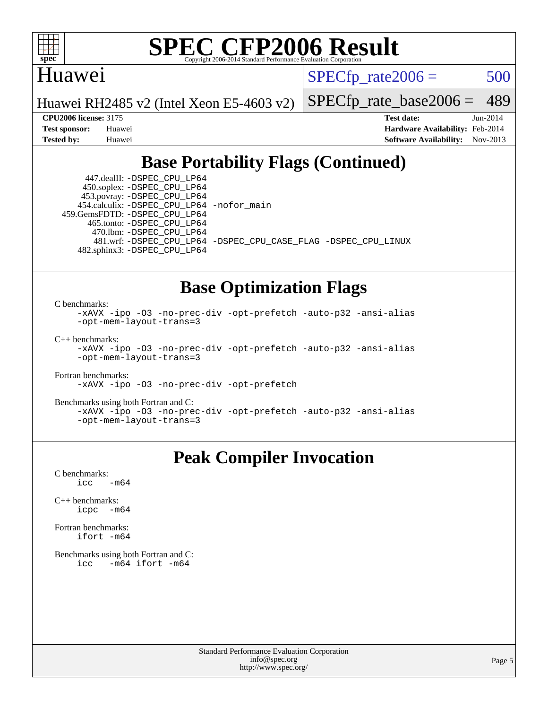

#### Huawei

 $SPECTp\_rate2006 = 500$ 

Huawei RH2485 v2 (Intel Xeon E5-4603 v2)

[SPECfp\\_rate\\_base2006 =](http://www.spec.org/auto/cpu2006/Docs/result-fields.html#SPECfpratebase2006) 489

**[CPU2006 license:](http://www.spec.org/auto/cpu2006/Docs/result-fields.html#CPU2006license)** 3175 **[Test date:](http://www.spec.org/auto/cpu2006/Docs/result-fields.html#Testdate)** Jun-2014 **[Test sponsor:](http://www.spec.org/auto/cpu2006/Docs/result-fields.html#Testsponsor)** Huawei **[Hardware Availability:](http://www.spec.org/auto/cpu2006/Docs/result-fields.html#HardwareAvailability)** Feb-2014 **[Tested by:](http://www.spec.org/auto/cpu2006/Docs/result-fields.html#Testedby)** Huawei **[Software Availability:](http://www.spec.org/auto/cpu2006/Docs/result-fields.html#SoftwareAvailability)** Nov-2013

#### **[Base Portability Flags \(Continued\)](http://www.spec.org/auto/cpu2006/Docs/result-fields.html#BasePortabilityFlags)**

 447.dealII: [-DSPEC\\_CPU\\_LP64](http://www.spec.org/cpu2006/results/res2014q3/cpu2006-20140612-29880.flags.html#suite_basePORTABILITY447_dealII_DSPEC_CPU_LP64) 450.soplex: [-DSPEC\\_CPU\\_LP64](http://www.spec.org/cpu2006/results/res2014q3/cpu2006-20140612-29880.flags.html#suite_basePORTABILITY450_soplex_DSPEC_CPU_LP64) 453.povray: [-DSPEC\\_CPU\\_LP64](http://www.spec.org/cpu2006/results/res2014q3/cpu2006-20140612-29880.flags.html#suite_basePORTABILITY453_povray_DSPEC_CPU_LP64) 454.calculix: [-DSPEC\\_CPU\\_LP64](http://www.spec.org/cpu2006/results/res2014q3/cpu2006-20140612-29880.flags.html#suite_basePORTABILITY454_calculix_DSPEC_CPU_LP64) [-nofor\\_main](http://www.spec.org/cpu2006/results/res2014q3/cpu2006-20140612-29880.flags.html#user_baseLDPORTABILITY454_calculix_f-nofor_main) 459.GemsFDTD: [-DSPEC\\_CPU\\_LP64](http://www.spec.org/cpu2006/results/res2014q3/cpu2006-20140612-29880.flags.html#suite_basePORTABILITY459_GemsFDTD_DSPEC_CPU_LP64) 465.tonto: [-DSPEC\\_CPU\\_LP64](http://www.spec.org/cpu2006/results/res2014q3/cpu2006-20140612-29880.flags.html#suite_basePORTABILITY465_tonto_DSPEC_CPU_LP64) 470.lbm: [-DSPEC\\_CPU\\_LP64](http://www.spec.org/cpu2006/results/res2014q3/cpu2006-20140612-29880.flags.html#suite_basePORTABILITY470_lbm_DSPEC_CPU_LP64) 481.wrf: [-DSPEC\\_CPU\\_LP64](http://www.spec.org/cpu2006/results/res2014q3/cpu2006-20140612-29880.flags.html#suite_basePORTABILITY481_wrf_DSPEC_CPU_LP64) [-DSPEC\\_CPU\\_CASE\\_FLAG](http://www.spec.org/cpu2006/results/res2014q3/cpu2006-20140612-29880.flags.html#b481.wrf_baseCPORTABILITY_DSPEC_CPU_CASE_FLAG) [-DSPEC\\_CPU\\_LINUX](http://www.spec.org/cpu2006/results/res2014q3/cpu2006-20140612-29880.flags.html#b481.wrf_baseCPORTABILITY_DSPEC_CPU_LINUX) 482.sphinx3: [-DSPEC\\_CPU\\_LP64](http://www.spec.org/cpu2006/results/res2014q3/cpu2006-20140612-29880.flags.html#suite_basePORTABILITY482_sphinx3_DSPEC_CPU_LP64)

#### **[Base Optimization Flags](http://www.spec.org/auto/cpu2006/Docs/result-fields.html#BaseOptimizationFlags)**

[C benchmarks](http://www.spec.org/auto/cpu2006/Docs/result-fields.html#Cbenchmarks):

[-xAVX](http://www.spec.org/cpu2006/results/res2014q3/cpu2006-20140612-29880.flags.html#user_CCbase_f-xAVX) [-ipo](http://www.spec.org/cpu2006/results/res2014q3/cpu2006-20140612-29880.flags.html#user_CCbase_f-ipo) [-O3](http://www.spec.org/cpu2006/results/res2014q3/cpu2006-20140612-29880.flags.html#user_CCbase_f-O3) [-no-prec-div](http://www.spec.org/cpu2006/results/res2014q3/cpu2006-20140612-29880.flags.html#user_CCbase_f-no-prec-div) [-opt-prefetch](http://www.spec.org/cpu2006/results/res2014q3/cpu2006-20140612-29880.flags.html#user_CCbase_f-opt-prefetch) [-auto-p32](http://www.spec.org/cpu2006/results/res2014q3/cpu2006-20140612-29880.flags.html#user_CCbase_f-auto-p32) [-ansi-alias](http://www.spec.org/cpu2006/results/res2014q3/cpu2006-20140612-29880.flags.html#user_CCbase_f-ansi-alias) [-opt-mem-layout-trans=3](http://www.spec.org/cpu2006/results/res2014q3/cpu2006-20140612-29880.flags.html#user_CCbase_f-opt-mem-layout-trans_a7b82ad4bd7abf52556d4961a2ae94d5)

[C++ benchmarks:](http://www.spec.org/auto/cpu2006/Docs/result-fields.html#CXXbenchmarks)

[-xAVX](http://www.spec.org/cpu2006/results/res2014q3/cpu2006-20140612-29880.flags.html#user_CXXbase_f-xAVX) [-ipo](http://www.spec.org/cpu2006/results/res2014q3/cpu2006-20140612-29880.flags.html#user_CXXbase_f-ipo) [-O3](http://www.spec.org/cpu2006/results/res2014q3/cpu2006-20140612-29880.flags.html#user_CXXbase_f-O3) [-no-prec-div](http://www.spec.org/cpu2006/results/res2014q3/cpu2006-20140612-29880.flags.html#user_CXXbase_f-no-prec-div) [-opt-prefetch](http://www.spec.org/cpu2006/results/res2014q3/cpu2006-20140612-29880.flags.html#user_CXXbase_f-opt-prefetch) [-auto-p32](http://www.spec.org/cpu2006/results/res2014q3/cpu2006-20140612-29880.flags.html#user_CXXbase_f-auto-p32) [-ansi-alias](http://www.spec.org/cpu2006/results/res2014q3/cpu2006-20140612-29880.flags.html#user_CXXbase_f-ansi-alias) [-opt-mem-layout-trans=3](http://www.spec.org/cpu2006/results/res2014q3/cpu2006-20140612-29880.flags.html#user_CXXbase_f-opt-mem-layout-trans_a7b82ad4bd7abf52556d4961a2ae94d5)

[Fortran benchmarks](http://www.spec.org/auto/cpu2006/Docs/result-fields.html#Fortranbenchmarks):

[-xAVX](http://www.spec.org/cpu2006/results/res2014q3/cpu2006-20140612-29880.flags.html#user_FCbase_f-xAVX) [-ipo](http://www.spec.org/cpu2006/results/res2014q3/cpu2006-20140612-29880.flags.html#user_FCbase_f-ipo) [-O3](http://www.spec.org/cpu2006/results/res2014q3/cpu2006-20140612-29880.flags.html#user_FCbase_f-O3) [-no-prec-div](http://www.spec.org/cpu2006/results/res2014q3/cpu2006-20140612-29880.flags.html#user_FCbase_f-no-prec-div) [-opt-prefetch](http://www.spec.org/cpu2006/results/res2014q3/cpu2006-20140612-29880.flags.html#user_FCbase_f-opt-prefetch)

[Benchmarks using both Fortran and C](http://www.spec.org/auto/cpu2006/Docs/result-fields.html#BenchmarksusingbothFortranandC):

```
-xAVX -ipo -O3 -no-prec-div -opt-prefetch -auto-p32 -ansi-alias
-opt-mem-layout-trans=3
```
#### **[Peak Compiler Invocation](http://www.spec.org/auto/cpu2006/Docs/result-fields.html#PeakCompilerInvocation)**

[C benchmarks](http://www.spec.org/auto/cpu2006/Docs/result-fields.html#Cbenchmarks):  $\text{icc}$  -m64

[C++ benchmarks:](http://www.spec.org/auto/cpu2006/Docs/result-fields.html#CXXbenchmarks) [icpc -m64](http://www.spec.org/cpu2006/results/res2014q3/cpu2006-20140612-29880.flags.html#user_CXXpeak_intel_icpc_64bit_bedb90c1146cab66620883ef4f41a67e)

[Fortran benchmarks](http://www.spec.org/auto/cpu2006/Docs/result-fields.html#Fortranbenchmarks): [ifort -m64](http://www.spec.org/cpu2006/results/res2014q3/cpu2006-20140612-29880.flags.html#user_FCpeak_intel_ifort_64bit_ee9d0fb25645d0210d97eb0527dcc06e)

[Benchmarks using both Fortran and C](http://www.spec.org/auto/cpu2006/Docs/result-fields.html#BenchmarksusingbothFortranandC): [icc -m64](http://www.spec.org/cpu2006/results/res2014q3/cpu2006-20140612-29880.flags.html#user_CC_FCpeak_intel_icc_64bit_0b7121f5ab7cfabee23d88897260401c) [ifort -m64](http://www.spec.org/cpu2006/results/res2014q3/cpu2006-20140612-29880.flags.html#user_CC_FCpeak_intel_ifort_64bit_ee9d0fb25645d0210d97eb0527dcc06e)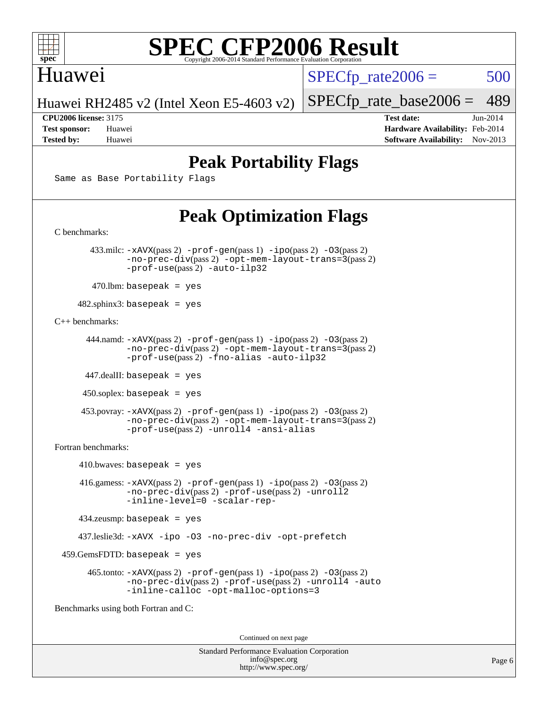

#### Huawei

 $SPECTp\_rate2006 = 500$ 

Huawei RH2485 v2 (Intel Xeon E5-4603 v2)

[SPECfp\\_rate\\_base2006 =](http://www.spec.org/auto/cpu2006/Docs/result-fields.html#SPECfpratebase2006) 489

**[CPU2006 license:](http://www.spec.org/auto/cpu2006/Docs/result-fields.html#CPU2006license)** 3175 **[Test date:](http://www.spec.org/auto/cpu2006/Docs/result-fields.html#Testdate)** Jun-2014 **[Test sponsor:](http://www.spec.org/auto/cpu2006/Docs/result-fields.html#Testsponsor)** Huawei **[Hardware Availability:](http://www.spec.org/auto/cpu2006/Docs/result-fields.html#HardwareAvailability)** Feb-2014 **[Tested by:](http://www.spec.org/auto/cpu2006/Docs/result-fields.html#Testedby)** Huawei **[Software Availability:](http://www.spec.org/auto/cpu2006/Docs/result-fields.html#SoftwareAvailability)** Nov-2013

#### **[Peak Portability Flags](http://www.spec.org/auto/cpu2006/Docs/result-fields.html#PeakPortabilityFlags)**

Same as Base Portability Flags

### **[Peak Optimization Flags](http://www.spec.org/auto/cpu2006/Docs/result-fields.html#PeakOptimizationFlags)**

[C benchmarks](http://www.spec.org/auto/cpu2006/Docs/result-fields.html#Cbenchmarks): 433.milc: [-xAVX](http://www.spec.org/cpu2006/results/res2014q3/cpu2006-20140612-29880.flags.html#user_peakPASS2_CFLAGSPASS2_LDFLAGS433_milc_f-xAVX)(pass 2) [-prof-gen](http://www.spec.org/cpu2006/results/res2014q3/cpu2006-20140612-29880.flags.html#user_peakPASS1_CFLAGSPASS1_LDFLAGS433_milc_prof_gen_e43856698f6ca7b7e442dfd80e94a8fc)(pass 1) [-ipo](http://www.spec.org/cpu2006/results/res2014q3/cpu2006-20140612-29880.flags.html#user_peakPASS2_CFLAGSPASS2_LDFLAGS433_milc_f-ipo)(pass 2) [-O3](http://www.spec.org/cpu2006/results/res2014q3/cpu2006-20140612-29880.flags.html#user_peakPASS2_CFLAGSPASS2_LDFLAGS433_milc_f-O3)(pass 2) [-no-prec-div](http://www.spec.org/cpu2006/results/res2014q3/cpu2006-20140612-29880.flags.html#user_peakPASS2_CFLAGSPASS2_LDFLAGS433_milc_f-no-prec-div)(pass 2) [-opt-mem-layout-trans=3](http://www.spec.org/cpu2006/results/res2014q3/cpu2006-20140612-29880.flags.html#user_peakPASS2_CFLAGS433_milc_f-opt-mem-layout-trans_a7b82ad4bd7abf52556d4961a2ae94d5)(pass 2) [-prof-use](http://www.spec.org/cpu2006/results/res2014q3/cpu2006-20140612-29880.flags.html#user_peakPASS2_CFLAGSPASS2_LDFLAGS433_milc_prof_use_bccf7792157ff70d64e32fe3e1250b55)(pass 2) [-auto-ilp32](http://www.spec.org/cpu2006/results/res2014q3/cpu2006-20140612-29880.flags.html#user_peakCOPTIMIZE433_milc_f-auto-ilp32)  $470$ .lbm: basepeak = yes 482.sphinx3: basepeak = yes [C++ benchmarks:](http://www.spec.org/auto/cpu2006/Docs/result-fields.html#CXXbenchmarks) 444.namd: [-xAVX](http://www.spec.org/cpu2006/results/res2014q3/cpu2006-20140612-29880.flags.html#user_peakPASS2_CXXFLAGSPASS2_LDFLAGS444_namd_f-xAVX)(pass 2) [-prof-gen](http://www.spec.org/cpu2006/results/res2014q3/cpu2006-20140612-29880.flags.html#user_peakPASS1_CXXFLAGSPASS1_LDFLAGS444_namd_prof_gen_e43856698f6ca7b7e442dfd80e94a8fc)(pass 1) [-ipo](http://www.spec.org/cpu2006/results/res2014q3/cpu2006-20140612-29880.flags.html#user_peakPASS2_CXXFLAGSPASS2_LDFLAGS444_namd_f-ipo)(pass 2) [-O3](http://www.spec.org/cpu2006/results/res2014q3/cpu2006-20140612-29880.flags.html#user_peakPASS2_CXXFLAGSPASS2_LDFLAGS444_namd_f-O3)(pass 2) [-no-prec-div](http://www.spec.org/cpu2006/results/res2014q3/cpu2006-20140612-29880.flags.html#user_peakPASS2_CXXFLAGSPASS2_LDFLAGS444_namd_f-no-prec-div)(pass 2) [-opt-mem-layout-trans=3](http://www.spec.org/cpu2006/results/res2014q3/cpu2006-20140612-29880.flags.html#user_peakPASS2_CXXFLAGS444_namd_f-opt-mem-layout-trans_a7b82ad4bd7abf52556d4961a2ae94d5)(pass 2) [-prof-use](http://www.spec.org/cpu2006/results/res2014q3/cpu2006-20140612-29880.flags.html#user_peakPASS2_CXXFLAGSPASS2_LDFLAGS444_namd_prof_use_bccf7792157ff70d64e32fe3e1250b55)(pass 2) [-fno-alias](http://www.spec.org/cpu2006/results/res2014q3/cpu2006-20140612-29880.flags.html#user_peakCXXOPTIMIZE444_namd_f-no-alias_694e77f6c5a51e658e82ccff53a9e63a) [-auto-ilp32](http://www.spec.org/cpu2006/results/res2014q3/cpu2006-20140612-29880.flags.html#user_peakCXXOPTIMIZE444_namd_f-auto-ilp32) 447.dealII: basepeak = yes 450.soplex: basepeak = yes 453.povray: [-xAVX](http://www.spec.org/cpu2006/results/res2014q3/cpu2006-20140612-29880.flags.html#user_peakPASS2_CXXFLAGSPASS2_LDFLAGS453_povray_f-xAVX)(pass 2) [-prof-gen](http://www.spec.org/cpu2006/results/res2014q3/cpu2006-20140612-29880.flags.html#user_peakPASS1_CXXFLAGSPASS1_LDFLAGS453_povray_prof_gen_e43856698f6ca7b7e442dfd80e94a8fc)(pass 1) [-ipo](http://www.spec.org/cpu2006/results/res2014q3/cpu2006-20140612-29880.flags.html#user_peakPASS2_CXXFLAGSPASS2_LDFLAGS453_povray_f-ipo)(pass 2) [-O3](http://www.spec.org/cpu2006/results/res2014q3/cpu2006-20140612-29880.flags.html#user_peakPASS2_CXXFLAGSPASS2_LDFLAGS453_povray_f-O3)(pass 2) [-no-prec-div](http://www.spec.org/cpu2006/results/res2014q3/cpu2006-20140612-29880.flags.html#user_peakPASS2_CXXFLAGSPASS2_LDFLAGS453_povray_f-no-prec-div)(pass 2) [-opt-mem-layout-trans=3](http://www.spec.org/cpu2006/results/res2014q3/cpu2006-20140612-29880.flags.html#user_peakPASS2_CXXFLAGS453_povray_f-opt-mem-layout-trans_a7b82ad4bd7abf52556d4961a2ae94d5)(pass 2) [-prof-use](http://www.spec.org/cpu2006/results/res2014q3/cpu2006-20140612-29880.flags.html#user_peakPASS2_CXXFLAGSPASS2_LDFLAGS453_povray_prof_use_bccf7792157ff70d64e32fe3e1250b55)(pass 2) [-unroll4](http://www.spec.org/cpu2006/results/res2014q3/cpu2006-20140612-29880.flags.html#user_peakCXXOPTIMIZE453_povray_f-unroll_4e5e4ed65b7fd20bdcd365bec371b81f) [-ansi-alias](http://www.spec.org/cpu2006/results/res2014q3/cpu2006-20140612-29880.flags.html#user_peakCXXOPTIMIZE453_povray_f-ansi-alias) [Fortran benchmarks](http://www.spec.org/auto/cpu2006/Docs/result-fields.html#Fortranbenchmarks):  $410.bwaves: basepeak = yes$  416.gamess: [-xAVX](http://www.spec.org/cpu2006/results/res2014q3/cpu2006-20140612-29880.flags.html#user_peakPASS2_FFLAGSPASS2_LDFLAGS416_gamess_f-xAVX)(pass 2) [-prof-gen](http://www.spec.org/cpu2006/results/res2014q3/cpu2006-20140612-29880.flags.html#user_peakPASS1_FFLAGSPASS1_LDFLAGS416_gamess_prof_gen_e43856698f6ca7b7e442dfd80e94a8fc)(pass 1) [-ipo](http://www.spec.org/cpu2006/results/res2014q3/cpu2006-20140612-29880.flags.html#user_peakPASS2_FFLAGSPASS2_LDFLAGS416_gamess_f-ipo)(pass 2) [-O3](http://www.spec.org/cpu2006/results/res2014q3/cpu2006-20140612-29880.flags.html#user_peakPASS2_FFLAGSPASS2_LDFLAGS416_gamess_f-O3)(pass 2) [-no-prec-div](http://www.spec.org/cpu2006/results/res2014q3/cpu2006-20140612-29880.flags.html#user_peakPASS2_FFLAGSPASS2_LDFLAGS416_gamess_f-no-prec-div)(pass 2) [-prof-use](http://www.spec.org/cpu2006/results/res2014q3/cpu2006-20140612-29880.flags.html#user_peakPASS2_FFLAGSPASS2_LDFLAGS416_gamess_prof_use_bccf7792157ff70d64e32fe3e1250b55)(pass 2) [-unroll2](http://www.spec.org/cpu2006/results/res2014q3/cpu2006-20140612-29880.flags.html#user_peakOPTIMIZE416_gamess_f-unroll_784dae83bebfb236979b41d2422d7ec2) [-inline-level=0](http://www.spec.org/cpu2006/results/res2014q3/cpu2006-20140612-29880.flags.html#user_peakOPTIMIZE416_gamess_f-inline-level_318d07a09274ad25e8d15dbfaa68ba50) [-scalar-rep-](http://www.spec.org/cpu2006/results/res2014q3/cpu2006-20140612-29880.flags.html#user_peakOPTIMIZE416_gamess_f-disablescalarrep_abbcad04450fb118e4809c81d83c8a1d) 434.zeusmp: basepeak = yes 437.leslie3d: [-xAVX](http://www.spec.org/cpu2006/results/res2014q3/cpu2006-20140612-29880.flags.html#user_peakOPTIMIZE437_leslie3d_f-xAVX) [-ipo](http://www.spec.org/cpu2006/results/res2014q3/cpu2006-20140612-29880.flags.html#user_peakOPTIMIZE437_leslie3d_f-ipo) [-O3](http://www.spec.org/cpu2006/results/res2014q3/cpu2006-20140612-29880.flags.html#user_peakOPTIMIZE437_leslie3d_f-O3) [-no-prec-div](http://www.spec.org/cpu2006/results/res2014q3/cpu2006-20140612-29880.flags.html#user_peakOPTIMIZE437_leslie3d_f-no-prec-div) [-opt-prefetch](http://www.spec.org/cpu2006/results/res2014q3/cpu2006-20140612-29880.flags.html#user_peakOPTIMIZE437_leslie3d_f-opt-prefetch) 459.GemsFDTD: basepeak = yes 465.tonto: [-xAVX](http://www.spec.org/cpu2006/results/res2014q3/cpu2006-20140612-29880.flags.html#user_peakPASS2_FFLAGSPASS2_LDFLAGS465_tonto_f-xAVX)(pass 2) [-prof-gen](http://www.spec.org/cpu2006/results/res2014q3/cpu2006-20140612-29880.flags.html#user_peakPASS1_FFLAGSPASS1_LDFLAGS465_tonto_prof_gen_e43856698f6ca7b7e442dfd80e94a8fc)(pass 1) [-ipo](http://www.spec.org/cpu2006/results/res2014q3/cpu2006-20140612-29880.flags.html#user_peakPASS2_FFLAGSPASS2_LDFLAGS465_tonto_f-ipo)(pass 2) [-O3](http://www.spec.org/cpu2006/results/res2014q3/cpu2006-20140612-29880.flags.html#user_peakPASS2_FFLAGSPASS2_LDFLAGS465_tonto_f-O3)(pass 2) [-no-prec-div](http://www.spec.org/cpu2006/results/res2014q3/cpu2006-20140612-29880.flags.html#user_peakPASS2_FFLAGSPASS2_LDFLAGS465_tonto_f-no-prec-div)(pass 2) [-prof-use](http://www.spec.org/cpu2006/results/res2014q3/cpu2006-20140612-29880.flags.html#user_peakPASS2_FFLAGSPASS2_LDFLAGS465_tonto_prof_use_bccf7792157ff70d64e32fe3e1250b55)(pass 2) [-unroll4](http://www.spec.org/cpu2006/results/res2014q3/cpu2006-20140612-29880.flags.html#user_peakOPTIMIZE465_tonto_f-unroll_4e5e4ed65b7fd20bdcd365bec371b81f) [-auto](http://www.spec.org/cpu2006/results/res2014q3/cpu2006-20140612-29880.flags.html#user_peakOPTIMIZE465_tonto_f-auto) [-inline-calloc](http://www.spec.org/cpu2006/results/res2014q3/cpu2006-20140612-29880.flags.html#user_peakOPTIMIZE465_tonto_f-inline-calloc) [-opt-malloc-options=3](http://www.spec.org/cpu2006/results/res2014q3/cpu2006-20140612-29880.flags.html#user_peakOPTIMIZE465_tonto_f-opt-malloc-options_13ab9b803cf986b4ee62f0a5998c2238) [Benchmarks using both Fortran and C](http://www.spec.org/auto/cpu2006/Docs/result-fields.html#BenchmarksusingbothFortranandC):

Continued on next page